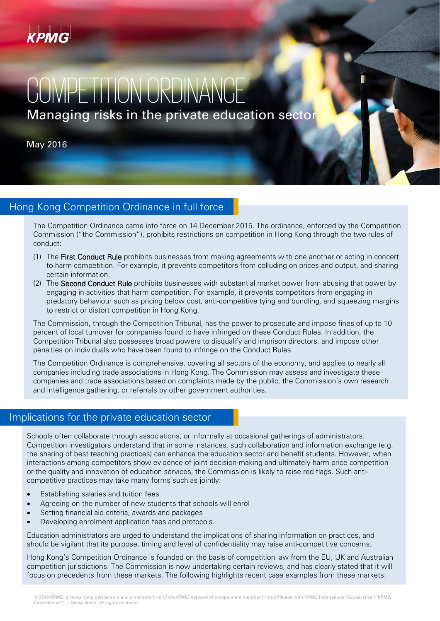

# COMPETITION ORDINANI Managing risks in the private education sector

May 2016

# Hong Kong Competition Ordinance in full force

The Competition Ordinance came into force on 14 December 2015. The ordinance, enforced by the Competition Commission ("the Commission"), prohibits restrictions on competition in Hong Kong through the two rules of conduct:

- (1) The First Conduct Rule prohibits businesses from making agreements with one another or acting in concert to harm competition. For example, it prevents competitors from colluding on prices and output, and sharing certain information.
- (2) The Second Conduct Rule prohibits businesses with substantial market power from abusing that power by engaging in activities that harm competition. For example, it prevents competitors from engaging in predatory behaviour such as pricing below cost, anti-competitive tying and bundling, and squeezing margins to restrict or distort competition in Hong Kong.

The Commission, through the Competition Tribunal, has the power to prosecute and impose fines of up to 10 percent of local turnover for companies found to have infringed on these Conduct Rules. In addition, the Competition Tribunal also possesses broad powers to disqualify and imprison directors, and impose other penalties on individuals who have been found to infringe on the Conduct Rules.

The Competition Ordinance is comprehensive, covering all sectors of the economy, and applies to nearly all companies including trade associations in Hong Kong. The Commission may assess and investigate these companies and trade associations based on complaints made by the public, the Commission's own research and intelligence gathering, or referrals by other government authorities.

# Implications for the private education sector

Schools often collaborate through associations, or informally at occasional gatherings of administrators. Competition investigators understand that in some instances, such collaboration and information exchange (e.g. the sharing of best teaching practices) can enhance the education sector and benefit students. However, when interactions among competitors show evidence of joint decision-making and ultimately harm price competition or the quality and innovation of education services, the Commission is likely to raise red flags. Such anticompetitive practices may take many forms such as jointly:

- Establishing salaries and tuition fees
- Agreeing on the number of new students that schools will enrol
- Setting financial aid criteria, awards and packages
- Developing enrolment application fees and protocols.

Education administrators are urged to understand the implications of sharing information on practices, and should be vigilant that its purpose, timing and level of confidentiality may raise anti-competitive concerns.

Hong Kong's Competition Ordinance is founded on the basis of competition law from the EU, UK and Australian competition jurisdictions. The Commission is now undertaking certain reviews, and has clearly stated that it will focus on precedents from these markets. The following highlights recent case examples from these markets: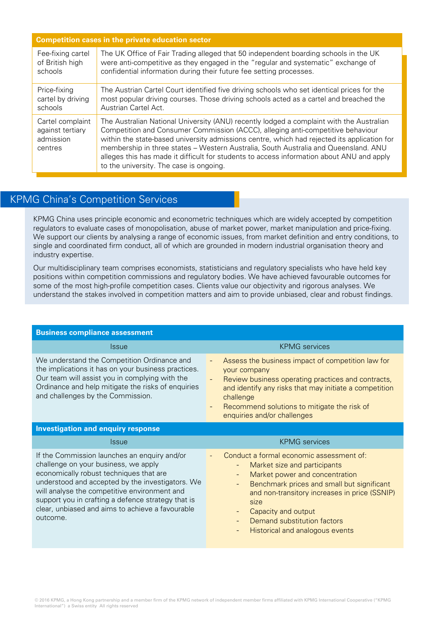| <b>Competition cases in the private education sector</b>     |                                                                                                                                                                                                                                                                                                                                                                                                                                                                                                           |  |
|--------------------------------------------------------------|-----------------------------------------------------------------------------------------------------------------------------------------------------------------------------------------------------------------------------------------------------------------------------------------------------------------------------------------------------------------------------------------------------------------------------------------------------------------------------------------------------------|--|
| Fee-fixing cartel                                            | The UK Office of Fair Trading alleged that 50 independent boarding schools in the UK                                                                                                                                                                                                                                                                                                                                                                                                                      |  |
| of British high                                              | were anti-competitive as they engaged in the "regular and systematic" exchange of                                                                                                                                                                                                                                                                                                                                                                                                                         |  |
| schools                                                      | confidential information during their future fee setting processes.                                                                                                                                                                                                                                                                                                                                                                                                                                       |  |
| Price-fixing                                                 | The Austrian Cartel Court identified five driving schools who set identical prices for the                                                                                                                                                                                                                                                                                                                                                                                                                |  |
| cartel by driving                                            | most popular driving courses. Those driving schools acted as a cartel and breached the                                                                                                                                                                                                                                                                                                                                                                                                                    |  |
| schools                                                      | Austrian Cartel Act.                                                                                                                                                                                                                                                                                                                                                                                                                                                                                      |  |
| Cartel complaint<br>against tertiary<br>admission<br>centres | The Australian National University (ANU) recently lodged a complaint with the Australian<br>Competition and Consumer Commission (ACCC), alleging anti-competitive behaviour<br>within the state-based university admissions centre, which had rejected its application for<br>membership in three states - Western Australia, South Australia and Queensland. ANU<br>alleges this has made it difficult for students to access information about ANU and apply<br>to the university. The case is ongoing. |  |

# KPMG China's Competition Services

KPMG China uses principle economic and econometric techniques which are widely accepted by competition regulators to evaluate cases of monopolisation, abuse of market power, market manipulation and price-fixing. We support our clients by analysing a range of economic issues, from market definition and entry conditions, to single and coordinated firm conduct, all of which are grounded in modern industrial organisation theory and industry expertise.

Our multidisciplinary team comprises economists, statisticians and regulatory specialists who have held key positions within competition commissions and regulatory bodies. We have achieved favourable outcomes for some of the most high-profile competition cases. Clients value our objectivity and rigorous analyses. We understand the stakes involved in competition matters and aim to provide unbiased, clear and robust findings.

| <b>Business compliance assessment</b>                                                                                                                                                                                                                                                                                                                     |                                                                                                                                                                                                                                                                                                                                                                    |  |  |
|-----------------------------------------------------------------------------------------------------------------------------------------------------------------------------------------------------------------------------------------------------------------------------------------------------------------------------------------------------------|--------------------------------------------------------------------------------------------------------------------------------------------------------------------------------------------------------------------------------------------------------------------------------------------------------------------------------------------------------------------|--|--|
| <i><u><b>Issue</b></u></i>                                                                                                                                                                                                                                                                                                                                | <b>KPMG</b> services                                                                                                                                                                                                                                                                                                                                               |  |  |
| We understand the Competition Ordinance and<br>the implications it has on your business practices.<br>Our team will assist you in complying with the<br>Ordinance and help mitigate the risks of enquiries<br>and challenges by the Commission.                                                                                                           | Assess the business impact of competition law for<br>your company<br>Review business operating practices and contracts,<br>and identify any risks that may initiate a competition<br>challenge<br>Recommend solutions to mitigate the risk of<br>enquiries and/or challenges                                                                                       |  |  |
| <b>Investigation and enquiry response</b>                                                                                                                                                                                                                                                                                                                 |                                                                                                                                                                                                                                                                                                                                                                    |  |  |
| <i><u><b>Issue</b></u></i>                                                                                                                                                                                                                                                                                                                                | <b>KPMG</b> services                                                                                                                                                                                                                                                                                                                                               |  |  |
| If the Commission launches an enquiry and/or<br>challenge on your business, we apply<br>economically robust techniques that are<br>understood and accepted by the investigators. We<br>will analyse the competitive environment and<br>support you in crafting a defence strategy that is<br>clear, unbiased and aims to achieve a favourable<br>outcome. | Conduct a formal economic assessment of:<br>Market size and participants<br>Market power and concentration<br>$\overline{\phantom{a}}$<br>Benchmark prices and small but significant<br>and non-transitory increases in price (SSNIP)<br>size<br>Capacity and output<br>$\overline{\phantom{a}}$<br>Demand substitution factors<br>Historical and analogous events |  |  |